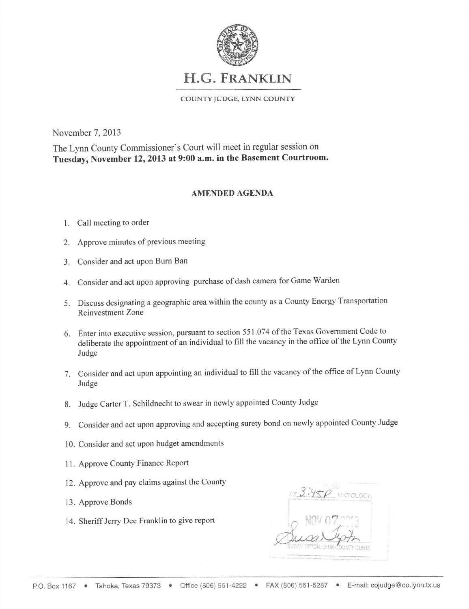

## H.G. FRANKLIN

COUNTY JUDGE, LYNN COUNTY

November 7,2013

The Lynn County Commissioner's Court will meet in regular session on Tuesday, November 12, 2013 at 9:00 a.m. in the Basement Courtroom.

## AMENDED AGENDA

## 1. Call meeting to order

- 2. Approve minutes of previous meeting
- 3. Consider and act upon Burn Ban
- 4. Consider and act upon approving purchase of dash camera for Game Warden
- 5. Discuss designating a geographic area within the county as a County Energy Transportation Reinvestment Zone
- 6. Enter into executive session, pursuant to section 551.074 of the Texas Government Code to deliberate the appointment of an individual to fill the vacancy in the office of the Lynn Counf Judge
- 7. Consider and act upon appointing an individual to fill the vacancy of the office of Lynn County Judge
- 8. Judge Carter T. Schildnecht to swear in newly appointed County Judge
- g. Consider and act upon approving and accepting surety bond on newly appointed County Judge
- 10. Consider and act upon budget amendments
- 11. Approve County Finance Report
- 12. Approve and pay claims against the County
- 13. Approve Bonds
- 14. Sheriff Jerry Dee Franklin to give report

M O'CLOCI